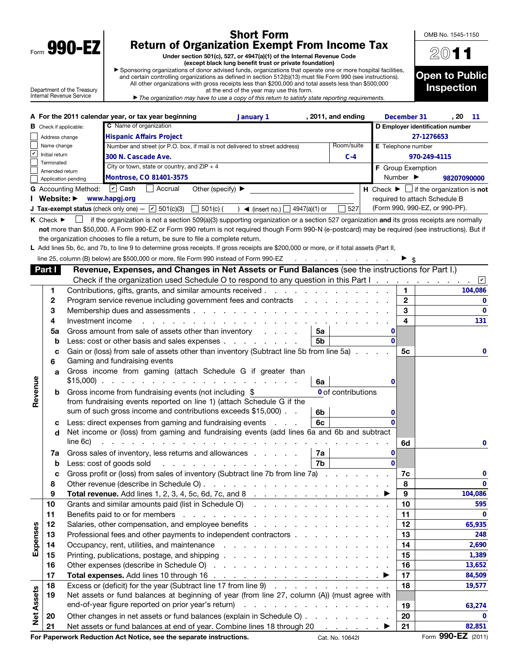| Form | 990-<br>u |  |
|------|-----------|--|

## Short Form Return of Organization Exempt From Income Tax

Under section 501(c), 527, or 4947(a)(1) of the Internal Revenue Code (except black lung benefit trust or private foundation)

▶ Sponsoring organizations of donor advised funds, organizations that operate one or more hospital facilities, and certain controlling organizations as defined in section 512(b)(13) must file Form 990 (see instructions). All other organizations with gross receipts less than \$200,000 and total assets less than \$500,000

Department of the Treasury Internal Revenue Service

| at the end of the year may use this form.                                                                 |  |
|-----------------------------------------------------------------------------------------------------------|--|
| $\epsilon$ The examization may baye to use a copy of this return to satisfy state reporting requirements. |  |



OMB No. 1545-1150

|  | $\blacktriangleright$ The organization may have to use a copy of this return to satisfy state reporting requirements. |
|--|-----------------------------------------------------------------------------------------------------------------------|
|  |                                                                                                                       |

|                   |                                 | A For the 2011 calendar year, or tax year beginning                                       |                                                                                                                                                    | , 2011, and ending<br>January 1                                                                                                                                                                                                |    |                    |                              | December 31                      | , 20                                                          | $-11$       |  |  |  |
|-------------------|---------------------------------|-------------------------------------------------------------------------------------------|----------------------------------------------------------------------------------------------------------------------------------------------------|--------------------------------------------------------------------------------------------------------------------------------------------------------------------------------------------------------------------------------|----|--------------------|------------------------------|----------------------------------|---------------------------------------------------------------|-------------|--|--|--|
|                   | <b>B</b> Check if applicable:   |                                                                                           | C Name of organization                                                                                                                             |                                                                                                                                                                                                                                |    |                    |                              | D Employer identification number |                                                               |             |  |  |  |
|                   | Address change                  |                                                                                           | <b>Hispanic Affairs Project</b>                                                                                                                    |                                                                                                                                                                                                                                |    |                    |                              | 27-1276653                       |                                                               |             |  |  |  |
|                   | Name change                     |                                                                                           | Number and street (or P.O. box, if mail is not delivered to street address)                                                                        |                                                                                                                                                                                                                                |    | Room/suite         |                              | <b>E</b> Telephone number        |                                                               |             |  |  |  |
| V                 | Initial return<br>Terminated    |                                                                                           | 300 N. Cascade Ave.                                                                                                                                |                                                                                                                                                                                                                                |    | $C-4$              |                              |                                  | 970-249-4115                                                  |             |  |  |  |
|                   | Amended return                  |                                                                                           | City or town, state or country, and $ZIP + 4$                                                                                                      |                                                                                                                                                                                                                                |    |                    |                              | F Group Exemption                |                                                               |             |  |  |  |
|                   |                                 | Application pending                                                                       | Montrose, CO 81401-3575                                                                                                                            |                                                                                                                                                                                                                                |    |                    |                              | Number $\blacktriangleright$     | 98207090000                                                   |             |  |  |  |
|                   |                                 | <b>G</b> Accounting Method:                                                               | $\vert \mathbf{v} \vert$ Cash<br>Accrual                                                                                                           | Other (specify) $\blacktriangleright$                                                                                                                                                                                          |    |                    |                              |                                  | H Check $\blacktriangleright \Box$ if the organization is not |             |  |  |  |
|                   | Website: $\blacktriangleright$  |                                                                                           | www.hapgj.org                                                                                                                                      |                                                                                                                                                                                                                                |    |                    |                              |                                  | required to attach Schedule B                                 |             |  |  |  |
|                   |                                 |                                                                                           | <b>J Tax-exempt status</b> (check only one) $ \boxed{\checkmark}$ 501(c)(3) 501(c) (                                                               | ) 	◄ (insert no.) $\Box$ 4947(a)(1) or                                                                                                                                                                                         |    | $\sqrt{527}$       |                              |                                  | (Form 990, 990-EZ, or 990-PF).                                |             |  |  |  |
|                   | $K$ Check $\blacktriangleright$ |                                                                                           | if the organization is not a section 509(a)(3) supporting organization or a section 527 organization and its gross receipts are normally           |                                                                                                                                                                                                                                |    |                    |                              |                                  |                                                               |             |  |  |  |
|                   |                                 |                                                                                           | not more than \$50,000. A Form 990-EZ or Form 990 return is not required though Form 990-N (e-postcard) may be required (see instructions). But if |                                                                                                                                                                                                                                |    |                    |                              |                                  |                                                               |             |  |  |  |
|                   |                                 |                                                                                           | the organization chooses to file a return, be sure to file a complete return.                                                                      |                                                                                                                                                                                                                                |    |                    |                              |                                  |                                                               |             |  |  |  |
|                   |                                 |                                                                                           | L Add lines 5b, 6c, and 7b, to line 9 to determine gross receipts. If gross receipts are \$200,000 or more, or if total assets (Part II,           |                                                                                                                                                                                                                                |    |                    |                              |                                  |                                                               |             |  |  |  |
|                   |                                 |                                                                                           | line 25, column (B) below) are \$500,000 or more, file Form 990 instead of Form 990-EZ                                                             |                                                                                                                                                                                                                                |    |                    |                              |                                  |                                                               |             |  |  |  |
|                   | Part I                          |                                                                                           | Revenue, Expenses, and Changes in Net Assets or Fund Balances (see the instructions for Part I.)                                                   |                                                                                                                                                                                                                                |    |                    |                              |                                  |                                                               |             |  |  |  |
|                   |                                 |                                                                                           | Check if the organization used Schedule O to respond to any question in this Part I.                                                               |                                                                                                                                                                                                                                |    |                    |                              |                                  |                                                               | ⊻           |  |  |  |
|                   | 1                               |                                                                                           | Contributions, gifts, grants, and similar amounts received                                                                                         |                                                                                                                                                                                                                                |    |                    |                              | 1                                |                                                               | 104,086     |  |  |  |
|                   | 2                               |                                                                                           | Program service revenue including government fees and contracts                                                                                    |                                                                                                                                                                                                                                |    |                    |                              | $\mathbf{2}$                     |                                                               | 0           |  |  |  |
|                   | 3                               |                                                                                           |                                                                                                                                                    |                                                                                                                                                                                                                                |    |                    |                              | 3                                |                                                               | $\mathbf 0$ |  |  |  |
|                   | 4                               | Investment income                                                                         |                                                                                                                                                    | a construction of the contract of the construction of the construction of the construction of the construction of the construction of the construction of the construction of the construction of the construction of the cons |    |                    |                              | 4                                |                                                               | 131         |  |  |  |
|                   | 5a                              |                                                                                           | Gross amount from sale of assets other than inventory                                                                                              |                                                                                                                                                                                                                                | 5a |                    | 0                            |                                  |                                                               |             |  |  |  |
|                   | b                               |                                                                                           | Less: cost or other basis and sales expenses                                                                                                       |                                                                                                                                                                                                                                | 5b |                    | $\Omega$                     |                                  |                                                               |             |  |  |  |
|                   | с                               |                                                                                           | Gain or (loss) from sale of assets other than inventory (Subtract line 5b from line 5a)                                                            |                                                                                                                                                                                                                                |    |                    |                              | 5с                               |                                                               | 0           |  |  |  |
|                   | 6                               |                                                                                           | Gaming and fundraising events                                                                                                                      |                                                                                                                                                                                                                                |    |                    |                              |                                  |                                                               |             |  |  |  |
|                   | a                               |                                                                                           | Gross income from gaming (attach Schedule G if greater than<br>$$15,000$                                                                           |                                                                                                                                                                                                                                | 6a |                    | 0                            |                                  |                                                               |             |  |  |  |
| Revenue           | b                               |                                                                                           | Gross income from fundraising events (not including \$                                                                                             |                                                                                                                                                                                                                                |    | 0 of contributions |                              |                                  |                                                               |             |  |  |  |
|                   |                                 |                                                                                           | from fundraising events reported on line 1) (attach Schedule G if the                                                                              |                                                                                                                                                                                                                                |    |                    |                              |                                  |                                                               |             |  |  |  |
|                   |                                 |                                                                                           | sum of such gross income and contributions exceeds \$15,000).                                                                                      |                                                                                                                                                                                                                                | 6b |                    | 0                            |                                  |                                                               |             |  |  |  |
|                   | с                               |                                                                                           | Less: direct expenses from gaming and fundraising events                                                                                           | <b>Service</b>                                                                                                                                                                                                                 | 6с |                    | O.                           |                                  |                                                               |             |  |  |  |
|                   | d                               | Net income or (loss) from gaming and fundraising events (add lines 6a and 6b and subtract |                                                                                                                                                    |                                                                                                                                                                                                                                |    |                    |                              |                                  |                                                               |             |  |  |  |
|                   |                                 | line 6c)                                                                                  | and a straightful and a straight and a                                                                                                             |                                                                                                                                                                                                                                |    |                    |                              | 6d                               |                                                               | 0           |  |  |  |
|                   | 7a                              |                                                                                           | Gross sales of inventory, less returns and allowances                                                                                              |                                                                                                                                                                                                                                | 7a |                    | 0                            |                                  |                                                               |             |  |  |  |
|                   | $\mathbf b$                     |                                                                                           | Less: cost of goods sold                                                                                                                           | .                                                                                                                                                                                                                              | 7b |                    | $\Omega$                     |                                  |                                                               |             |  |  |  |
|                   | с                               |                                                                                           | Gross profit or (loss) from sales of inventory (Subtract line 7b from line 7a)                                                                     |                                                                                                                                                                                                                                |    |                    |                              | 7c                               |                                                               | 0           |  |  |  |
|                   | 8                               |                                                                                           |                                                                                                                                                    |                                                                                                                                                                                                                                |    |                    |                              | 8                                |                                                               | 0           |  |  |  |
|                   | ¥                               |                                                                                           | <b>Total revenue.</b> Add lines 1, 2, 3, 4, 5c, 6d, 7c, and 8 $\ldots$ 1                                                                           |                                                                                                                                                                                                                                |    |                    |                              | 9                                |                                                               | 104,086     |  |  |  |
|                   | 10                              |                                                                                           | Grants and similar amounts paid (list in Schedule O)                                                                                               |                                                                                                                                                                                                                                |    |                    |                              | 10                               |                                                               | 595         |  |  |  |
|                   | 11                              |                                                                                           |                                                                                                                                                    |                                                                                                                                                                                                                                |    |                    |                              | 11                               |                                                               | 0           |  |  |  |
|                   | 12                              |                                                                                           |                                                                                                                                                    |                                                                                                                                                                                                                                |    |                    |                              | 12                               |                                                               | 65,935      |  |  |  |
|                   | 13                              |                                                                                           | Professional fees and other payments to independent contractors                                                                                    |                                                                                                                                                                                                                                |    |                    |                              | 13                               |                                                               | 248         |  |  |  |
| Expenses          | 14                              |                                                                                           |                                                                                                                                                    |                                                                                                                                                                                                                                |    |                    |                              | 14                               |                                                               | 2,690       |  |  |  |
|                   | 15                              |                                                                                           |                                                                                                                                                    |                                                                                                                                                                                                                                |    |                    |                              | 15                               |                                                               | 1,389       |  |  |  |
|                   | 16                              |                                                                                           |                                                                                                                                                    |                                                                                                                                                                                                                                |    |                    |                              | 16                               |                                                               | 13,652      |  |  |  |
|                   | 17                              |                                                                                           |                                                                                                                                                    |                                                                                                                                                                                                                                |    |                    |                              | 17                               |                                                               | 84,509      |  |  |  |
|                   | 18                              |                                                                                           | Excess or (deficit) for the year (Subtract line 17 from line 9)                                                                                    |                                                                                                                                                                                                                                |    |                    |                              | 18                               |                                                               | 19,577      |  |  |  |
|                   | 19                              |                                                                                           | Net assets or fund balances at beginning of year (from line 27, column (A)) (must agree with                                                       |                                                                                                                                                                                                                                |    |                    |                              |                                  |                                                               |             |  |  |  |
|                   |                                 |                                                                                           | end-of-year figure reported on prior year's return)                                                                                                |                                                                                                                                                                                                                                |    |                    |                              | 19                               |                                                               | 63,274      |  |  |  |
| <b>Net Assets</b> | 20                              |                                                                                           | Other changes in net assets or fund balances (explain in Schedule O)                                                                               |                                                                                                                                                                                                                                |    |                    |                              | 20                               |                                                               | 0           |  |  |  |
|                   | 21                              |                                                                                           | Net assets or fund balances at end of year. Combine lines 18 through 20                                                                            |                                                                                                                                                                                                                                |    |                    | $\sim$ $\blacktriangleright$ | 21                               |                                                               | 82,851      |  |  |  |
|                   |                                 |                                                                                           | For Paperwork Reduction Act Notice, see the separate instructions.                                                                                 |                                                                                                                                                                                                                                |    | Cat. No. 10642I    |                              |                                  | Form 990-EZ (2011)                                            |             |  |  |  |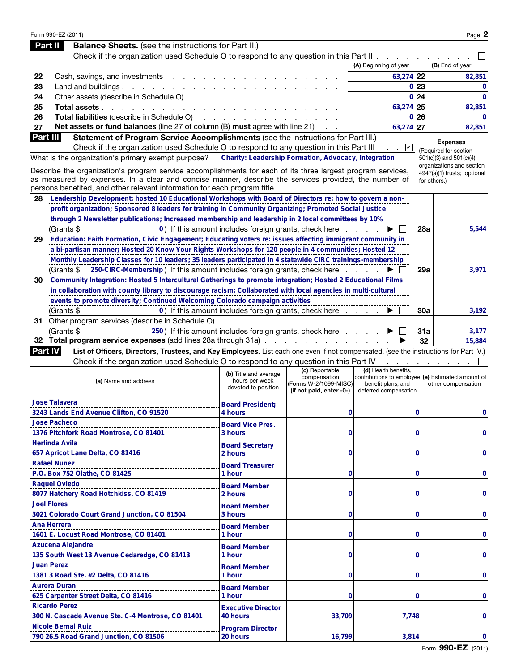|                 | Form 990-EZ (2011)                                                                                                                   |                                                            |                                            |                                                                         |             | Page 2                                                   |
|-----------------|--------------------------------------------------------------------------------------------------------------------------------------|------------------------------------------------------------|--------------------------------------------|-------------------------------------------------------------------------|-------------|----------------------------------------------------------|
|                 | <b>Balance Sheets.</b> (see the instructions for Part II.)<br>Part II                                                                |                                                            |                                            |                                                                         |             |                                                          |
|                 | Check if the organization used Schedule O to respond to any question in this Part II.                                                |                                                            |                                            |                                                                         |             |                                                          |
|                 |                                                                                                                                      |                                                            |                                            | (A) Beginning of year                                                   |             | (B) End of year                                          |
| 22              | Cash, savings, and investments                                                                                                       |                                                            |                                            | 63,274 22                                                               |             | 82,851                                                   |
| 23              | Land and buildings.<br>and the contract of the                                                                                       |                                                            |                                            |                                                                         | 0 23        | $\mathbf{0}$                                             |
| 24              | Other assets (describe in Schedule O)                                                                                                |                                                            |                                            |                                                                         | 0 24        | $\Omega$                                                 |
| 25              | Total assets.<br>the contract of the contract of                                                                                     |                                                            |                                            | 63,274 25                                                               |             | 82,851                                                   |
| 26              | Total liabilities (describe in Schedule O)                                                                                           |                                                            |                                            | $\mathbf{0}$                                                            | 26          | $\Omega$                                                 |
| 27              | Net assets or fund balances (line 27 of column (B) must agree with line 21)                                                          |                                                            |                                            | 63,274 27                                                               |             | 82,851                                                   |
| <b>Part III</b> | Statement of Program Service Accomplishments (see the instructions for Part III.)                                                    |                                                            |                                            |                                                                         |             | <b>Expenses</b>                                          |
|                 | Check if the organization used Schedule O to respond to any question in this Part III                                                |                                                            |                                            | ⊻                                                                       |             | (Required for section                                    |
|                 | What is the organization's primary exempt purpose?                                                                                   | Charity: Leadership Formation, Advocacy, Integration       |                                            |                                                                         |             | 501(c)(3) and 501(c)(4)                                  |
|                 | Describe the organization's program service accomplishments for each of its three largest program services,                          |                                                            |                                            |                                                                         |             | organizations and section<br>4947(a)(1) trusts; optional |
|                 | as measured by expenses. In a clear and concise manner, describe the services provided, the number of                                |                                                            |                                            |                                                                         |             | for others.)                                             |
|                 | persons benefited, and other relevant information for each program title.                                                            |                                                            |                                            |                                                                         |             |                                                          |
| 28              | Leadership Development: hosted 10 Educational Workshops with Board of Directors re: how to govern a non-                             |                                                            |                                            |                                                                         |             |                                                          |
|                 | profit organization; Sponsored 8 leaders for training in Community Organizing; Promoted Social Justice                               |                                                            |                                            |                                                                         |             |                                                          |
|                 | through 2 Newsletter publications; Increased membership and leadership in 2 local committees by 10%                                  |                                                            |                                            |                                                                         |             |                                                          |
|                 | (Grants \$                                                                                                                           | 0) If this amount includes foreign grants, check here      |                                            |                                                                         | 28a         | 5,544                                                    |
| 29              | Education: Faith Formation, Civic Engagement; Educating voters re: issues affecting immigrant community in                           |                                                            |                                            |                                                                         |             |                                                          |
|                 | a bi-partisan manner; Hosted 20 Know Your Rights Workshops for 120 people in 4 communities; Hosted 12                                |                                                            |                                            |                                                                         |             |                                                          |
|                 | Monthly Leadership Classes for 10 leaders; 35 leaders participated in 4 statewide CIRC trainings-membership                          |                                                            |                                            |                                                                         |             |                                                          |
|                 | 250-CIRC-Membership) If this amount includes foreign grants, check here.<br>(Grants \$                                               |                                                            |                                            |                                                                         | 29a         | 3,971                                                    |
| 30              | Community Integration: Hosted 5 Intercultural Gatherings to promote integration; Hosted 2 Educational Films                          |                                                            |                                            |                                                                         |             |                                                          |
|                 | in collaboration with county library to discourage racism; Collaborated with local agencies in multi-cultural                        |                                                            |                                            |                                                                         |             |                                                          |
|                 | events to promote diversity; Continued Welcoming Colorado campaign activities                                                        |                                                            |                                            |                                                                         | <b>30a</b>  | 3,192                                                    |
|                 | (Grants \$<br>31 Other program services (describe in Schedule O)                                                                     | 0) If this amount includes foreign grants, check here<br>. |                                            |                                                                         |             |                                                          |
|                 | (Grants \$                                                                                                                           | 250) If this amount includes foreign grants, check here    |                                            |                                                                         | 31a         | 3,177                                                    |
|                 | 32 Total program service expenses (add lines 28a through 31a).                                                                       |                                                            | and a series of the contract of the series |                                                                         | 32          | 15,884                                                   |
| <b>Part IV</b>  | List of Officers, Directors, Trustees, and Key Employees. List each one even if not compensated. (see the instructions for Part IV.) |                                                            |                                            |                                                                         |             |                                                          |
|                 | Check if the organization used Schedule O to respond to any question in this Part IV                                                 |                                                            |                                            |                                                                         |             |                                                          |
|                 |                                                                                                                                      | (b) Title and average                                      | (c) Reportable                             | (d) Health benefits.                                                    |             |                                                          |
|                 | (a) Name and address                                                                                                                 | hours per week                                             | compensation<br>(Forms W-2/1099-MISC)      | contributions to employee (e) Estimated amount of<br>benefit plans, and |             | other compensation                                       |
|                 |                                                                                                                                      | devoted to position                                        | (if not paid, enter -0-)                   | deferred compensation                                                   |             |                                                          |
|                 | <b>Jose Talavera</b>                                                                                                                 | <b>Board President:</b>                                    |                                            |                                                                         |             |                                                          |
|                 | 3243 Lands End Avenue Clifton, CO 91520                                                                                              | 4 hours                                                    | 0                                          |                                                                         | 0           | 0                                                        |
|                 | <b>Jose Pacheco</b>                                                                                                                  | <b>Board Vice Pres.</b>                                    |                                            |                                                                         |             |                                                          |
|                 | 1376 Pitchfork Road Montrose, CO 81401                                                                                               | 3 hours                                                    | 0                                          |                                                                         | 0           | 0                                                        |
|                 | <b>Herlinda Avila</b>                                                                                                                | <b>Board Secretary</b>                                     |                                            |                                                                         |             |                                                          |
|                 | 657 Apricot Lane Delta, CO 81416                                                                                                     | 2 hours                                                    | 0                                          |                                                                         | 0           | 0                                                        |
|                 | <b>Rafael Nunez</b><br>_________________                                                                                             | <b>Board Treasurer</b>                                     |                                            |                                                                         |             |                                                          |
|                 | P.O. Box 752 Olathe, CO 81425                                                                                                        | 1 hour                                                     | 0                                          |                                                                         | 0           | 0                                                        |
|                 | <b>Raquel Oviedo</b>                                                                                                                 | <b>Board Member</b>                                        |                                            |                                                                         |             |                                                          |
|                 | 8077 Hatchery Road Hotchkiss, CO 81419                                                                                               | 2 hours                                                    | 0                                          |                                                                         | 0           | 0                                                        |
|                 | <b>Joel Flores</b>                                                                                                                   | <b>Board Member</b>                                        |                                            |                                                                         |             |                                                          |
|                 | 3021 Colorado Court Grand Junction, CO 81504                                                                                         | 3 hours                                                    | 0                                          |                                                                         | 0           | 0                                                        |
|                 | <b>Ana Herrera</b>                                                                                                                   | <b>Board Member</b>                                        |                                            |                                                                         |             |                                                          |
|                 | 1601 E. Locust Road Montrose, CO 81401                                                                                               | 1 hour                                                     | 0                                          |                                                                         | $\mathbf 0$ | 0                                                        |
|                 | <b>Azucena Alejandre</b>                                                                                                             | <b>Board Member</b>                                        |                                            |                                                                         |             |                                                          |
|                 | 135 South West 13 Avenue Cedaredge, CO 81413                                                                                         | 1 hour                                                     | 0                                          |                                                                         | $\mathbf 0$ | 0                                                        |
|                 | <b>Juan Perez</b>                                                                                                                    | <b>Board Member</b>                                        |                                            |                                                                         |             |                                                          |
|                 | 1381 3 Road Ste. #2 Delta, CO 81416                                                                                                  | 1 hour                                                     | 0                                          |                                                                         | 0           | 0                                                        |
|                 | <b>Aurora Duran</b>                                                                                                                  | <b>Board Member</b>                                        |                                            |                                                                         |             |                                                          |
|                 | 625 Carpenter Street Delta, CO 81416                                                                                                 | 1 hour                                                     | $\bf{0}$                                   |                                                                         | 0           | 0                                                        |
|                 | <b>Ricardo Perez</b>                                                                                                                 | <b>Executive Director</b>                                  |                                            |                                                                         |             |                                                          |
|                 | 300 N. Cascade Avenue Ste. C-4 Montrose, CO 81401                                                                                    | 40 hours                                                   | 33,709                                     | 7,748                                                                   |             | 0                                                        |
|                 | <b>Nicole Bernal Ruiz</b>                                                                                                            | <b>Program Director</b>                                    |                                            |                                                                         |             |                                                          |
|                 | 790 26.5 Road Grand Junction, CO 81506                                                                                               | 20 hours                                                   | 16,799                                     | 3,814                                                                   |             | 0                                                        |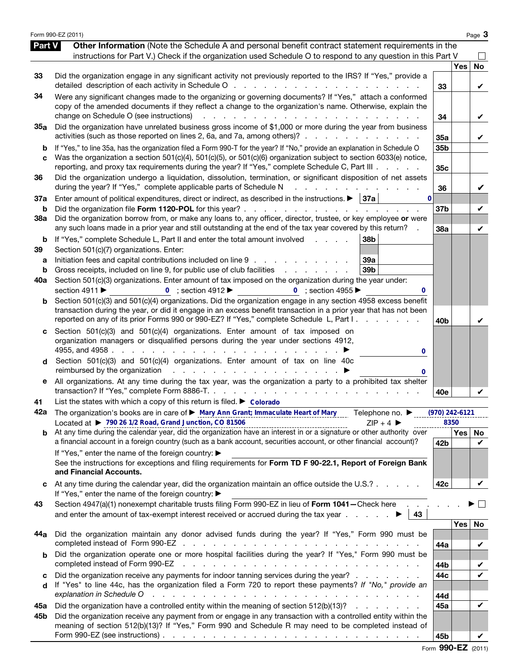|                   | Form 990-EZ (2011)                                                                                                                                                                                                                                                                                                                                                            |                        |                  | Page 3         |
|-------------------|-------------------------------------------------------------------------------------------------------------------------------------------------------------------------------------------------------------------------------------------------------------------------------------------------------------------------------------------------------------------------------|------------------------|------------------|----------------|
| Part V            | Other Information (Note the Schedule A and personal benefit contract statement requirements in the<br>instructions for Part V.) Check if the organization used Schedule O to respond to any question in this Part V                                                                                                                                                           |                        |                  |                |
| 33                | Did the organization engage in any significant activity not previously reported to the IRS? If "Yes," provide a                                                                                                                                                                                                                                                               | 33                     | Yes              | <b>No</b><br>V |
| 34                | Were any significant changes made to the organizing or governing documents? If "Yes," attach a conformed<br>copy of the amended documents if they reflect a change to the organization's name. Otherwise, explain the<br>change on Schedule O (see instructions)<br>a na kama na kama na kama na kama na k                                                                    | 34                     |                  | V              |
| 35a               | Did the organization have unrelated business gross income of \$1,000 or more during the year from business<br>activities (such as those reported on lines 2, 6a, and 7a, among others)?                                                                                                                                                                                       | 35a                    |                  | V              |
| b<br>C            | If "Yes," to line 35a, has the organization filed a Form 990-T for the year? If "No," provide an explanation in Schedule O<br>Was the organization a section 501(c)(4), 501(c)(5), or 501(c)(6) organization subject to section 6033(e) notice,<br>reporting, and proxy tax requirements during the year? If "Yes," complete Schedule C, Part III                             | 35b<br>35 <sub>c</sub> |                  |                |
| 36                | Did the organization undergo a liquidation, dissolution, termination, or significant disposition of net assets<br>during the year? If "Yes," complete applicable parts of Schedule N<br>and a strategic and                                                                                                                                                                   | 36                     |                  | V              |
| 37a<br>b          | Enter amount of political expenditures, direct or indirect, as described in the instructions. $\blacktriangleright$   37a  <br>$\bf{0}$<br>Did the organization file Form 1120-POL for this year?                                                                                                                                                                             | 37 <sub>b</sub>        |                  | V              |
| 38a               | Did the organization borrow from, or make any loans to, any officer, director, trustee, or key employee or were<br>any such loans made in a prior year and still outstanding at the end of the tax year covered by this return?                                                                                                                                               | 38a                    |                  | V              |
| b<br>39<br>а<br>b | If "Yes," complete Schedule L, Part II and enter the total amount involved<br>38 <sub>b</sub><br>Section 501(c)(7) organizations. Enter:<br>Initiation fees and capital contributions included on line 9<br>39a<br>Gross receipts, included on line 9, for public use of club facilities<br>39 <sub>b</sub>                                                                   |                        |                  |                |
| 40a               | Section 501(c)(3) organizations. Enter amount of tax imposed on the organization during the year under:<br>section 4911 ▶<br>0 ; section $4912 \blacktriangleright$<br>0 ; section 4955 $\blacktriangleright$                                                                                                                                                                 |                        |                  |                |
| b                 | Section 501(c)(3) and 501(c)(4) organizations. Did the organization engage in any section 4958 excess benefit<br>transaction during the year, or did it engage in an excess benefit transaction in a prior year that has not been<br>reported on any of its prior Forms 990 or 990-EZ? If "Yes," complete Schedule L, Part I.                                                 | 40 <sub>b</sub>        |                  | V              |
| c<br>d            | Section 501(c)(3) and 501(c)(4) organizations. Enter amount of tax imposed on<br>organization managers or disqualified persons during the year under sections 4912,<br>0<br>Section 501(c)(3) and 501(c)(4) organizations. Enter amount of tax on line 40c                                                                                                                    |                        |                  |                |
| е                 | reimbursed by the organization resources and resources and resources in the set of the original resources in the set of the set of the set of the set of the set of the set of the set of the set of the set of the set of the<br>All organizations. At any time during the tax year, was the organization a party to a prohibited tax shelter                                |                        |                  |                |
| 41                | List the states with which a copy of this return is filed. $\triangleright$ Colorado                                                                                                                                                                                                                                                                                          | 40e                    |                  |                |
| 42a               | The organization's books are in care of ▶ Mary Ann Grant; Immaculate Heart of Mary<br>Telephone no. ▶<br>Located at ▶ 790 26 1/2 Road, Grand Junction, CO 81506<br>$ZIP + 4$                                                                                                                                                                                                  | (970) 242-6121         | 8350             |                |
|                   | $\mathbf{b}$ At any time during the calendar year, did the organization have an interest in or a signature or other authority over<br>a financial account in a foreign country (such as a bank account, securities account, or other financial account)?                                                                                                                      | 42b                    | Yes <sub>1</sub> | No<br>V        |
|                   | If "Yes," enter the name of the foreign country: ▶<br>See the instructions for exceptions and filing requirements for Form TD F 90-22.1, Report of Foreign Bank<br>and Financial Accounts.                                                                                                                                                                                    |                        |                  |                |
|                   | At any time during the calendar year, did the organization maintain an office outside the U.S.?<br>If "Yes," enter the name of the foreign country: ▶                                                                                                                                                                                                                         | 42c                    |                  | V              |
| 43                | Section 4947(a)(1) nonexempt charitable trusts filing Form 990-EZ in lieu of Form 1041-Check here<br>and enter the amount of tax-exempt interest received or accrued during the tax year $\ldots$<br>43                                                                                                                                                                       |                        |                  |                |
| 44a               | Did the organization maintain any donor advised funds during the year? If "Yes," Form 990 must be<br>completed instead of Form 990-EZ<br>and a series of the contract of the contract of the contract of the contract of the contract of the contract of                                                                                                                      |                        | Yes              | No             |
| b                 | Did the organization operate one or more hospital facilities during the year? If "Yes," Form 990 must be<br>completed instead of Form 990-EZ<br>and a construction of the construction of the construction of the construction of the construction of the construction of the construction of the construction of the construction of the construction of the construction of | 44a<br>44b             |                  | V<br>V         |
| c<br>d            | Did the organization receive any payments for indoor tanning services during the year?<br>If "Yes" to line 44c, has the organization filed a Form 720 to report these payments? If "No," provide an<br>explanation in Schedule O                                                                                                                                              | 44c<br>44d             |                  | $\checkmark$   |
| 45а               | Did the organization have a controlled entity within the meaning of section 512(b)(13)?                                                                                                                                                                                                                                                                                       | 45a                    |                  | V              |
| 45b               | Did the organization receive any payment from or engage in any transaction with a controlled entity within the<br>meaning of section 512(b)(13)? If "Yes," Form 990 and Schedule R may need to be completed instead of<br>Form 990-EZ (see instructions) $\ldots$ $\ldots$ $\ldots$ $\ldots$ $\ldots$ $\ldots$ $\ldots$ $\ldots$ $\ldots$ $\ldots$ $\ldots$                   | 45b                    |                  |                |

Form 990-EZ (2011)